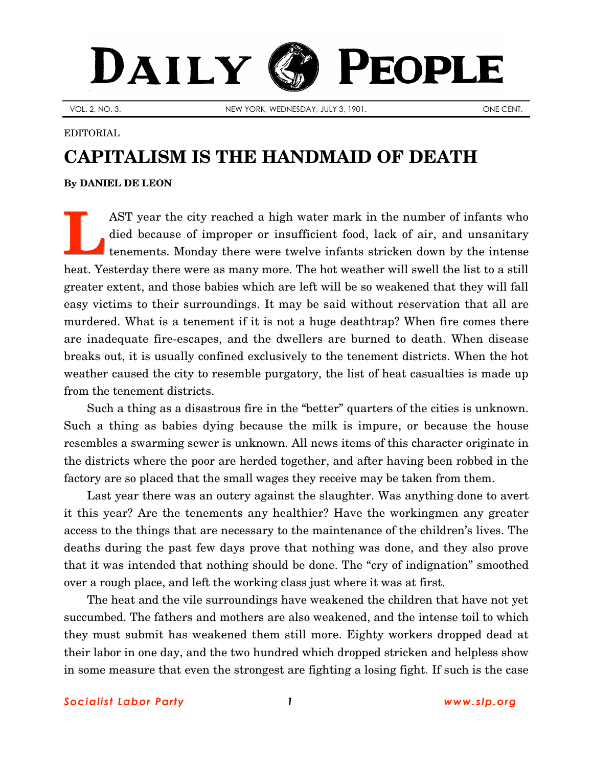## DAILY PEOPLE

VOL. 2, NO. 3. NEW YORK, WEDNESDAY, JULY 3, 1901.

## EDITORIAL

## **CAPITALISM IS THE HANDMAID OF DEATH**

## **By [DANIEL DE LEON](http://www.slp.org/De_Leon.htm)**

AST year the city reached a high water mark in the number of infants who died because of improper or insufficient food, lack of air, and unsanitary tenements. Monday there were twelve infants stricken down by the intense heat. Yesterday there were as many more. The hot weather will swell the list to a still greater extent, and those babies which are left will be so weakened that they will fall easy victims to their surroundings. It may be said without reservation that all are murdered. What is a tenement if it is not a huge deathtrap? When fire comes there are inadequate fire-escapes, and the dwellers are burned to death. When disease breaks out, it is usually confined exclusively to the tenement districts. When the hot weather caused the city to resemble purgatory, the list of heat casualties is made up from the tenement districts. **L**

Such a thing as a disastrous fire in the "better" quarters of the cities is unknown. Such a thing as babies dying because the milk is impure, or because the house resembles a swarming sewer is unknown. All news items of this character originate in the districts where the poor are herded together, and after having been robbed in the factory are so placed that the small wages they receive may be taken from them.

Last year there was an outcry against the slaughter. Was anything done to avert it this year? Are the tenements any healthier? Have the workingmen any greater access to the things that are necessary to the maintenance of the children's lives. The deaths during the past few days prove that nothing was done, and they also prove that it was intended that nothing should be done. The "cry of indignation" smoothed over a rough place, and left the working class just where it was at first.

The heat and the vile surroundings have weakened the children that have not yet succumbed. The fathers and mothers are also weakened, and the intense toil to which they must submit has weakened them still more. Eighty workers dropped dead at their labor in one day, and the two hundred which dropped stricken and helpless show in some measure that even the strongest are fighting a losing fight. If such is the case